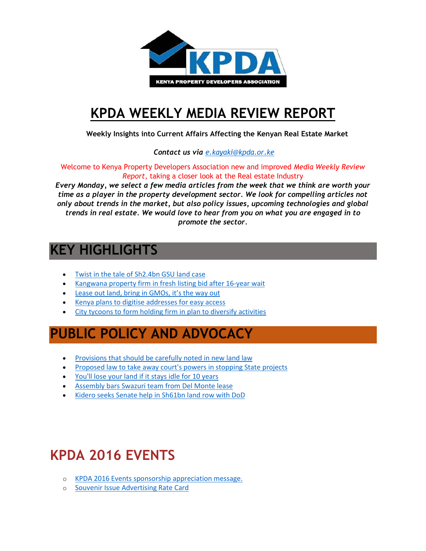

## **[KPDA WEEKLY MEDIA REVIEW REPORT](http://kpda.or.ke/)**

 **Weekly Insights into Current Affairs Affecting the Kenyan Real Estate Market**

 *Contact us via [e.kayaki@kpda.or](mailto:e.kayaki@kpda.or.ke).ke*

Welcome to Kenya Property Developers Association new and improved *Media Weekly Review Report*, taking a closer look at the Real estate Industry

*Every Monday, we select a few media articles from the week that we think are worth your time as a player in the property development sector. We look for compelling articles not only about trends in the market, but also policy issues, upcoming technologies and global trends in real estate. We would love to hear from you on what you are engaged in to promote the sector.*

### **KEY HIGHLIGHTS**

- [Twist in the tale of Sh2.4bn GSU land case](http://www.nation.co.ke/news/1056-3442236-5gpnruz/index.html)
- [Kangwana property firm in fresh listing bid after 16-year wait](http://www.businessdailyafrica.com/Kangwana-property-firm-in-fresh-listing-bid/539552-3442908-o9cpdxz/index.html)
- [Lease out land, bring in GMOs, it's the way out](http://www.theeastafrican.co.ke/OpEd/comment/Lease-out-the-land-bring-in-GMOs-it-is-the-way-out-/434750-3442778-nvnqtu/index.html)
- [Kenya plans to digitise addresses for easy access](http://www.theeastafrican.co.ke/business/Kenya-plans-to-digitise-addresses-for-easy-access---/2560-3444048-u8sbipz/index.html)
- [City tycoons to form holding firm in plan to diversify activities](http://www.businessdailyafrica.com/City-tycoons-to-form-holding-firm/539552-3442932-u33n64/index.html)

## **PUBLIC POLICY AND ADVOCACY**

- [Provisions that should be carefully noted in new land law](http://www.nation.co.ke/oped/Opinion/provisions-that-should-be-carefully-noted-in-new-Land-law/440808-3441994-l6w6duz/index.html)
- [Proposed law to take away court's powers in stopping State projects](http://www.standardmedia.co.ke/article/2000219229/proposed-law-to-take-away-court-s-powers-in-stopping-state-projects)
- [You'll lose your land if it stays idle for 10 years](http://www.standardmedia.co.ke/article/2000222892/you-ll-lose-your-land-if-it-stays-idle-for-10-years)
- [Assembly bars Swazuri team from Del Monte lease](http://www.mediamaxnetwork.co.ke/news/271532/assembly-bars-swazuri-team-del-monte-lease/)
- [Kidero seeks Senate help in Sh61bn land row with DoD](http://www.businessdailyafrica.com/Corporate-News/Kidero-seeks-Senate-help-in-Sh61bn-land-row-with-DoD/539550-3448462-wcym3j/index.html)

# **KPDA 2016 EVENTS**

- o [KPDA 2016 Events sponsorship appreciation message.](https://gallery.mailchimp.com/7bca7a3b8f6eed9f612fdccdd/files/KPDA_Events_Sponsors_Thank_You_Message..pdf)
- o [Souvenir Issue Advertising Rate Card](https://gallery.mailchimp.com/7bca7a3b8f6eed9f612fdccdd/files/Souvenir_Issue_Advertising_Rate_Card.01.pdf)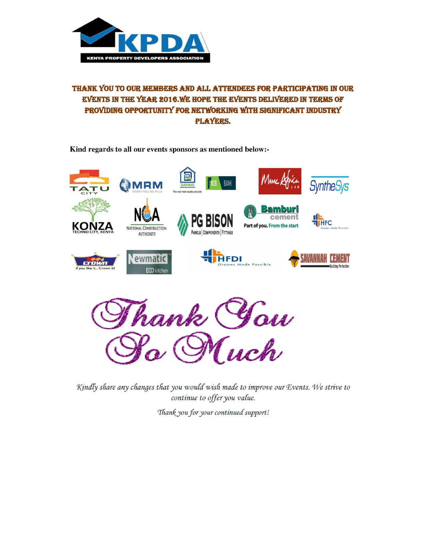

#### THANK YOU TO OUR MEMBERS AND ALL ATTENDEES FOR PARTICIPATING IN OUR EVENTS IN THE YEAR 2016. WE HOPE THE EVENTS DELIVERED IN TERMS OF PROVIDING OPPORTUNITY FOR NETWORKING WITH SIGNIFICANT INDUSTRY **PLAYERS.**

Kind regards to all our events sponsors as mentioned below:-



hank You<br>Ro Much

Kindly share any changes that you would wish made to improve our Events. We strive to continue to offer you value.

Thank you for your continued support!